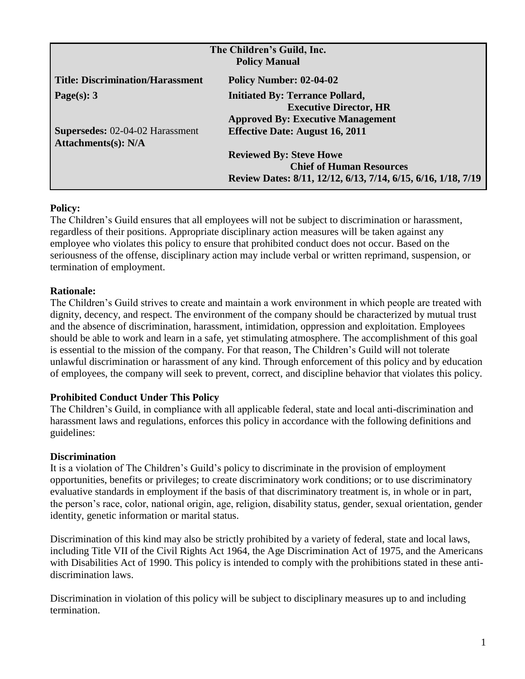| The Children's Guild, Inc.<br><b>Policy Manual</b>                   |                                                                                                                                    |  |
|----------------------------------------------------------------------|------------------------------------------------------------------------------------------------------------------------------------|--|
| <b>Title: Discrimination/Harassment</b>                              | Policy Number: 02-04-02                                                                                                            |  |
| Page(s): $3$                                                         | <b>Initiated By: Terrance Pollard,</b><br><b>Executive Director, HR</b><br><b>Approved By: Executive Management</b>                |  |
| <b>Supersedes: 02-04-02 Harassment</b><br><b>Attachments(s): N/A</b> | <b>Effective Date: August 16, 2011</b>                                                                                             |  |
|                                                                      | <b>Reviewed By: Steve Howe</b><br><b>Chief of Human Resources</b><br>Review Dates: 8/11, 12/12, 6/13, 7/14, 6/15, 6/16, 1/18, 7/19 |  |

The Children's Guild ensures that all employees will not be subject to discrimination or harassment, regardless of their positions. Appropriate disciplinary action measures will be taken against any employee who violates this policy to ensure that prohibited conduct does not occur. Based on the seriousness of the offense, disciplinary action may include verbal or written reprimand, suspension, or termination of employment.

# **Rationale:**

The Children's Guild strives to create and maintain a work environment in which people are treated with dignity, decency, and respect. The environment of the company should be characterized by mutual trust and the absence of discrimination, harassment, intimidation, oppression and exploitation. Employees should be able to work and learn in a safe, yet stimulating atmosphere. The accomplishment of this goal is essential to the mission of the company. For that reason, The Children's Guild will not tolerate unlawful discrimination or harassment of any kind. Through enforcement of this policy and by education of employees, the company will seek to prevent, correct, and discipline behavior that violates this policy.

# **Prohibited Conduct Under This Policy**

The Children's Guild, in compliance with all applicable federal, state and local anti-discrimination and harassment laws and regulations, enforces this policy in accordance with the following definitions and guidelines:

### **Discrimination**

It is a violation of The Children's Guild's policy to discriminate in the provision of employment opportunities, benefits or privileges; to create discriminatory work conditions; or to use discriminatory evaluative standards in employment if the basis of that discriminatory treatment is, in whole or in part, the person's race, color, national origin, age, religion, disability status, gender, sexual orientation, gender identity, genetic information or marital status.

Discrimination of this kind may also be strictly prohibited by a variety of federal, state and local laws, including Title VII of the Civil Rights Act 1964, the Age Discrimination Act of 1975, and the Americans with Disabilities Act of 1990. This policy is intended to comply with the prohibitions stated in these antidiscrimination laws.

Discrimination in violation of this policy will be subject to disciplinary measures up to and including termination.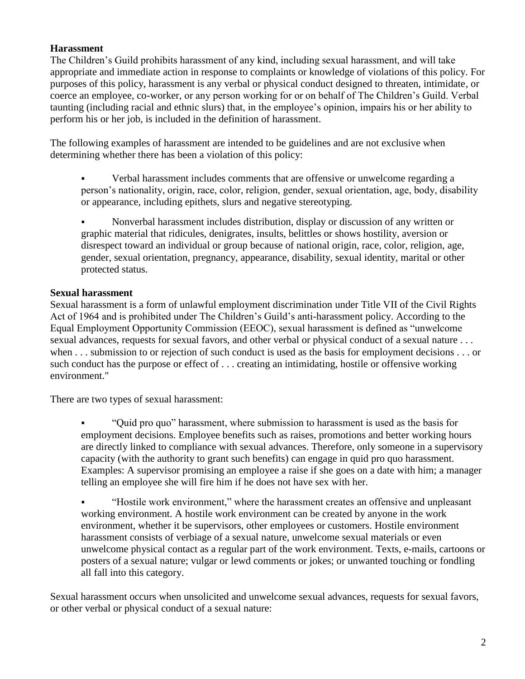# **Harassment**

The Children's Guild prohibits harassment of any kind, including sexual harassment, and will take appropriate and immediate action in response to complaints or knowledge of violations of this policy. For purposes of this policy, harassment is any verbal or physical conduct designed to threaten, intimidate, or coerce an employee, co-worker, or any person working for or on behalf of The Children's Guild. Verbal taunting (including racial and ethnic slurs) that, in the employee's opinion, impairs his or her ability to perform his or her job, is included in the definition of harassment.

The following examples of harassment are intended to be guidelines and are not exclusive when determining whether there has been a violation of this policy:

 Verbal harassment includes comments that are offensive or unwelcome regarding a person's nationality, origin, race, color, religion, gender, sexual orientation, age, body, disability or appearance, including epithets, slurs and negative stereotyping.

 Nonverbal harassment includes distribution, display or discussion of any written or graphic material that ridicules, denigrates, insults, belittles or shows hostility, aversion or disrespect toward an individual or group because of national origin, race, color, religion, age, gender, sexual orientation, pregnancy, appearance, disability, sexual identity, marital or other protected status.

### **Sexual harassment**

Sexual harassment is a form of unlawful employment discrimination under Title VII of the Civil Rights Act of 1964 and is prohibited under The Children's Guild's anti-harassment policy. According to the Equal Employment Opportunity Commission (EEOC), sexual harassment is defined as "unwelcome sexual advances, requests for sexual favors, and other verbal or physical conduct of a sexual nature . . . when . . . submission to or rejection of such conduct is used as the basis for employment decisions . . . or such conduct has the purpose or effect of . . . creating an intimidating, hostile or offensive working environment."

There are two types of sexual harassment:

 "Quid pro quo" harassment, where submission to harassment is used as the basis for employment decisions. Employee benefits such as raises, promotions and better working hours are directly linked to compliance with sexual advances. Therefore, only someone in a supervisory capacity (with the authority to grant such benefits) can engage in quid pro quo harassment. Examples: A supervisor promising an employee a raise if she goes on a date with him; a manager telling an employee she will fire him if he does not have sex with her.

 "Hostile work environment," where the harassment creates an offensive and unpleasant working environment. A hostile work environment can be created by anyone in the work environment, whether it be supervisors, other employees or customers. Hostile environment harassment consists of verbiage of a sexual nature, unwelcome sexual materials or even unwelcome physical contact as a regular part of the work environment. Texts, e-mails, cartoons or posters of a sexual nature; vulgar or lewd comments or jokes; or unwanted touching or fondling all fall into this category.

Sexual harassment occurs when unsolicited and unwelcome sexual advances, requests for sexual favors, or other verbal or physical conduct of a sexual nature: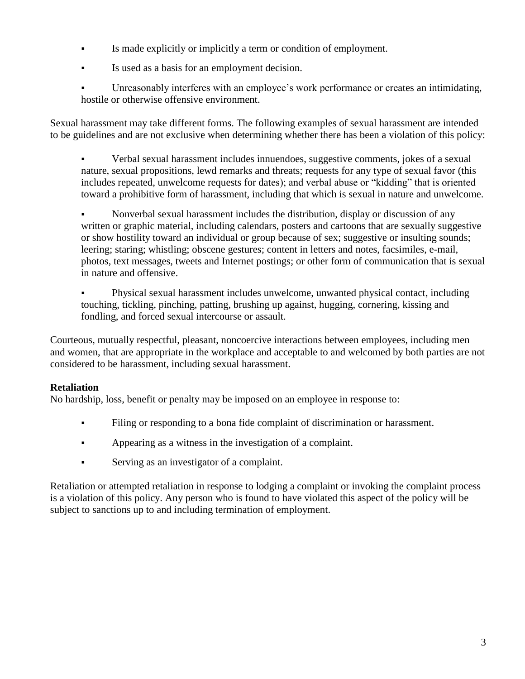- Is made explicitly or implicitly a term or condition of employment.
- Is used as a basis for an employment decision.
- Unreasonably interferes with an employee's work performance or creates an intimidating, hostile or otherwise offensive environment.

Sexual harassment may take different forms. The following examples of sexual harassment are intended to be guidelines and are not exclusive when determining whether there has been a violation of this policy:

 Verbal sexual harassment includes innuendoes, suggestive comments, jokes of a sexual nature, sexual propositions, lewd remarks and threats; requests for any type of sexual favor (this includes repeated, unwelcome requests for dates); and verbal abuse or "kidding" that is oriented toward a prohibitive form of harassment, including that which is sexual in nature and unwelcome.

 Nonverbal sexual harassment includes the distribution, display or discussion of any written or graphic material, including calendars, posters and cartoons that are sexually suggestive or show hostility toward an individual or group because of sex; suggestive or insulting sounds; leering; staring; whistling; obscene gestures; content in letters and notes, facsimiles, e-mail, photos, text messages, tweets and Internet postings; or other form of communication that is sexual in nature and offensive.

 Physical sexual harassment includes unwelcome, unwanted physical contact, including touching, tickling, pinching, patting, brushing up against, hugging, cornering, kissing and fondling, and forced sexual intercourse or assault.

Courteous, mutually respectful, pleasant, noncoercive interactions between employees, including men and women, that are appropriate in the workplace and acceptable to and welcomed by both parties are not considered to be harassment, including sexual harassment.

# **Retaliation**

No hardship, loss, benefit or penalty may be imposed on an employee in response to:

- Filing or responding to a bona fide complaint of discrimination or harassment.
- Appearing as a witness in the investigation of a complaint.
- Serving as an investigator of a complaint.

Retaliation or attempted retaliation in response to lodging a complaint or invoking the complaint process is a violation of this policy. Any person who is found to have violated this aspect of the policy will be subject to sanctions up to and including termination of employment.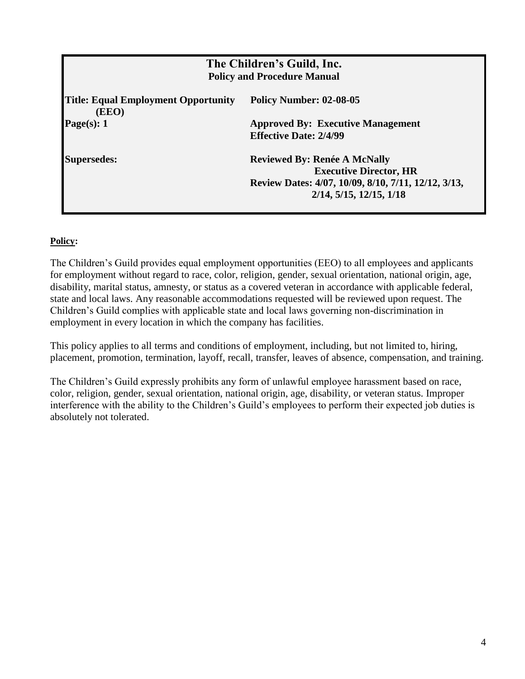| The Children's Guild, Inc.<br><b>Policy and Procedure Manual</b> |                                                                                                                                                                   |  |
|------------------------------------------------------------------|-------------------------------------------------------------------------------------------------------------------------------------------------------------------|--|
| <b>Title: Equal Employment Opportunity</b><br>(EEO)              | <b>Policy Number: 02-08-05</b>                                                                                                                                    |  |
| Page(s): $1$                                                     | <b>Approved By: Executive Management</b><br><b>Effective Date: 2/4/99</b>                                                                                         |  |
| <b>Supersedes:</b>                                               | <b>Reviewed By: Renée A McNally</b><br><b>Executive Director, HR</b><br>Review Dates: 4/07, 10/09, 8/10, 7/11, 12/12, 3/13,<br>$2/14$ , $5/15$ , $12/15$ , $1/18$ |  |

The Children's Guild provides equal employment opportunities (EEO) to all employees and applicants for employment without regard to race, color, religion, gender, sexual orientation, national origin, age, disability, marital status, amnesty, or status as a covered veteran in accordance with applicable federal, state and local laws. Any reasonable accommodations requested will be reviewed upon request. The Children's Guild complies with applicable state and local laws governing non-discrimination in employment in every location in which the company has facilities.

This policy applies to all terms and conditions of employment, including, but not limited to, hiring, placement, promotion, termination, layoff, recall, transfer, leaves of absence, compensation, and training.

The Children's Guild expressly prohibits any form of unlawful employee harassment based on race, color, religion, gender, sexual orientation, national origin, age, disability, or veteran status. Improper interference with the ability to the Children's Guild's employees to perform their expected job duties is absolutely not tolerated.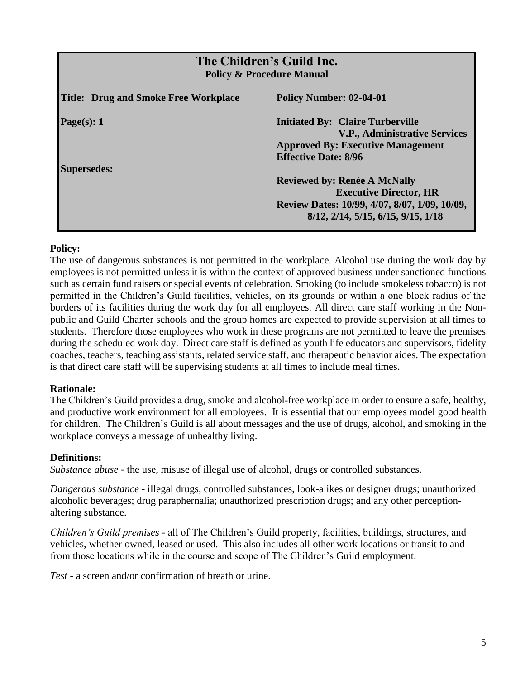| The Children's Guild Inc.<br><b>Policy &amp; Procedure Manual</b> |                                                                                                                                                             |  |
|-------------------------------------------------------------------|-------------------------------------------------------------------------------------------------------------------------------------------------------------|--|
| <b>Title: Drug and Smoke Free Workplace</b>                       | Policy Number: 02-04-01                                                                                                                                     |  |
| Page(s): $1$                                                      | <b>Initiated By: Claire Turberville</b><br><b>V.P., Administrative Services</b><br><b>Approved By: Executive Management</b><br><b>Effective Date: 8/96</b>  |  |
| <b>Supersedes:</b>                                                | <b>Reviewed by: Renée A McNally</b><br><b>Executive Director, HR</b><br>Review Dates: 10/99, 4/07, 8/07, 1/09, 10/09,<br>8/12, 2/14, 5/15, 6/15, 9/15, 1/18 |  |

The use of dangerous substances is not permitted in the workplace. Alcohol use during the work day by employees is not permitted unless it is within the context of approved business under sanctioned functions such as certain fund raisers or special events of celebration. Smoking (to include smokeless tobacco) is not permitted in the Children's Guild facilities, vehicles, on its grounds or within a one block radius of the borders of its facilities during the work day for all employees. All direct care staff working in the Nonpublic and Guild Charter schools and the group homes are expected to provide supervision at all times to students. Therefore those employees who work in these programs are not permitted to leave the premises during the scheduled work day. Direct care staff is defined as youth life educators and supervisors, fidelity coaches, teachers, teaching assistants, related service staff, and therapeutic behavior aides. The expectation is that direct care staff will be supervising students at all times to include meal times.

### **Rationale:**

The Children's Guild provides a drug, smoke and alcohol-free workplace in order to ensure a safe, healthy, and productive work environment for all employees. It is essential that our employees model good health for children. The Children's Guild is all about messages and the use of drugs, alcohol, and smoking in the workplace conveys a message of unhealthy living.

#### **Definitions:**

*Substance abuse* - the use, misuse of illegal use of alcohol, drugs or controlled substances.

*Dangerous substance* - illegal drugs, controlled substances, look-alikes or designer drugs; unauthorized alcoholic beverages; drug paraphernalia; unauthorized prescription drugs; and any other perceptionaltering substance.

*Children's Guild premises* - all of The Children's Guild property, facilities, buildings, structures, and vehicles, whether owned, leased or used. This also includes all other work locations or transit to and from those locations while in the course and scope of The Children's Guild employment.

*Test* - a screen and/or confirmation of breath or urine.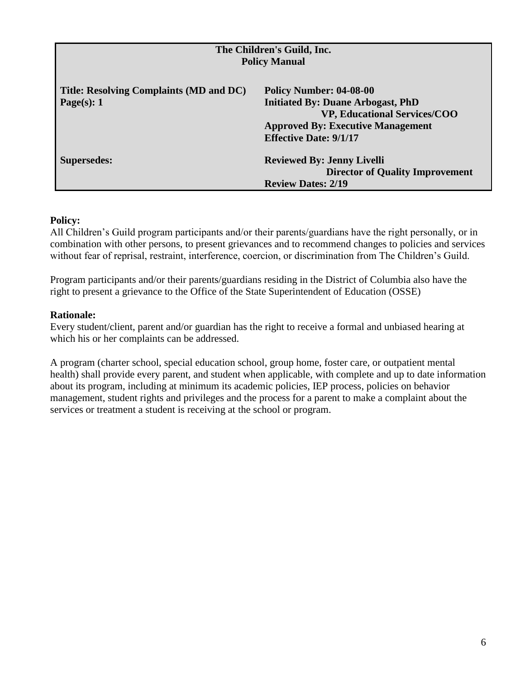| The Children's Guild, Inc.              |                                          |  |  |
|-----------------------------------------|------------------------------------------|--|--|
| <b>Policy Manual</b>                    |                                          |  |  |
|                                         |                                          |  |  |
| Title: Resolving Complaints (MD and DC) | Policy Number: 04-08-00                  |  |  |
| Page(s): $1$                            | <b>Initiated By: Duane Arbogast, PhD</b> |  |  |
|                                         | <b>VP, Educational Services/COO</b>      |  |  |
|                                         | <b>Approved By: Executive Management</b> |  |  |
|                                         | <b>Effective Date: 9/1/17</b>            |  |  |
| <b>Supersedes:</b>                      | <b>Reviewed By: Jenny Livelli</b>        |  |  |
|                                         | <b>Director of Quality Improvement</b>   |  |  |
|                                         | <b>Review Dates: 2/19</b>                |  |  |

All Children's Guild program participants and/or their parents/guardians have the right personally, or in combination with other persons, to present grievances and to recommend changes to policies and services without fear of reprisal, restraint, interference, coercion, or discrimination from The Children's Guild.

Program participants and/or their parents/guardians residing in the District of Columbia also have the right to present a grievance to the Office of the State Superintendent of Education (OSSE)

#### **Rationale:**

Every student/client, parent and/or guardian has the right to receive a formal and unbiased hearing at which his or her complaints can be addressed.

A program (charter school, special education school, group home, foster care, or outpatient mental health) shall provide every parent, and student when applicable, with complete and up to date information about its program, including at minimum its academic policies, IEP process, policies on behavior management, student rights and privileges and the process for a parent to make a complaint about the services or treatment a student is receiving at the school or program.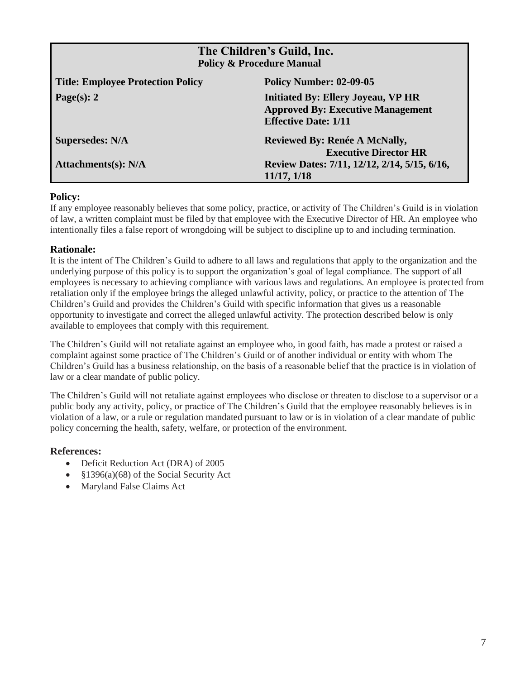| The Children's Guild, Inc.<br><b>Policy &amp; Procedure Manual</b> |                                                                                                                      |  |
|--------------------------------------------------------------------|----------------------------------------------------------------------------------------------------------------------|--|
| <b>Title: Employee Protection Policy</b>                           | <b>Policy Number: 02-09-05</b>                                                                                       |  |
| Page(s): $2$                                                       | <b>Initiated By: Ellery Joyeau, VP HR</b><br><b>Approved By: Executive Management</b><br><b>Effective Date: 1/11</b> |  |
| <b>Supersedes: N/A</b>                                             | Reviewed By: Renée A McNally,<br><b>Executive Director HR</b>                                                        |  |
| Attachments(s): $N/A$                                              | Review Dates: 7/11, 12/12, 2/14, 5/15, 6/16,<br>11/17, 1/18                                                          |  |

If any employee reasonably believes that some policy, practice, or activity of The Children's Guild is in violation of law, a written complaint must be filed by that employee with the Executive Director of HR. An employee who intentionally files a false report of wrongdoing will be subject to discipline up to and including termination.

#### **Rationale:**

It is the intent of The Children's Guild to adhere to all laws and regulations that apply to the organization and the underlying purpose of this policy is to support the organization's goal of legal compliance. The support of all employees is necessary to achieving compliance with various laws and regulations. An employee is protected from retaliation only if the employee brings the alleged unlawful activity, policy, or practice to the attention of The Children's Guild and provides the Children's Guild with specific information that gives us a reasonable opportunity to investigate and correct the alleged unlawful activity. The protection described below is only available to employees that comply with this requirement.

The Children's Guild will not retaliate against an employee who, in good faith, has made a protest or raised a complaint against some practice of The Children's Guild or of another individual or entity with whom The Children's Guild has a business relationship, on the basis of a reasonable belief that the practice is in violation of law or a clear mandate of public policy.

The Children's Guild will not retaliate against employees who disclose or threaten to disclose to a supervisor or a public body any activity, policy, or practice of The Children's Guild that the employee reasonably believes is in violation of a law, or a rule or regulation mandated pursuant to law or is in violation of a clear mandate of public policy concerning the health, safety, welfare, or protection of the environment.

#### **References:**

- Deficit Reduction Act (DRA) of 2005
- §1396(a)(68) of the Social Security Act
- Maryland False Claims Act